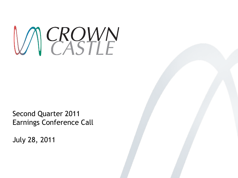

Second Quarter 2011 Earnings Conference Call

July 28, 2011

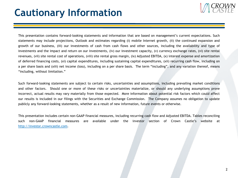### **Cautionary Information**



This presentation contains forward-looking statements and information that are based on management's current expectations. Such statements may include projections, Outlook and estimates regarding (i) mobile Internet growth, (ii) the continued expansion and growth of our business, (iii) our investments of cash from cash flows and other sources, including the availability and type of investments and the impact and return on our investments, (iv) our investment capacity, (v) currency exchange rates, (vi) site rental revenues, (vii) site rental cost of operations, (viii) site rental gross margin, (ix) Adjusted EBITDA, (x) interest expense and amortization of deferred financing costs, (xi) capital expenditures, including sustaining capital expenditures, (xii) recurring cash flow, including on a per share basis and (xiii) net income (loss), including on a per share basis. The term "including", and any variation thereof, means "including, without limitation."

Such forward-looking statements are subject to certain risks, uncertainties and assumptions, including prevailing market conditions and other factors. Should one or more of these risks or uncertainties materialize, or should any underlying assumptions prove incorrect, actual results may vary materially from those expected. More information about potential risk factors which could affect our results is included in our filings with the Securities and Exchange Commission. The Company assumes no obligation to update publicly any forward-looking statements, whether as a result of new information, future events or otherwise.

This presentation includes certain non-GAAP financial measures, including recurring cash flow and Adjusted EBITDA. Tables reconciling such non-GAAP financial measures are available under the investor section of Crown Castle's website at http://investor.crowncastle.com.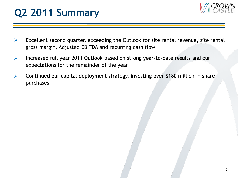

- $\triangleright$  Excellent second quarter, exceeding the Outlook for site rental revenue, site rental gross margin, Adjusted EBITDA and recurring cash flow
- $\triangleright$  Increased full year 2011 Outlook based on strong year-to-date results and our expectations for the remainder of the year
- $\triangleright$  Continued our capital deployment strategy, investing over \$180 million in share purchases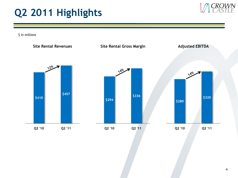

\$ in millions

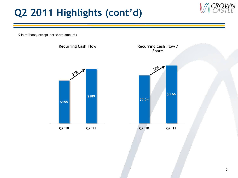## **Q2 2011 Highlights (cont'd)**

\$ in millions, except per share amounts

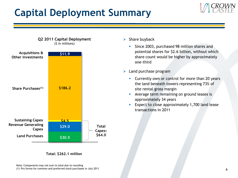# **Capital Deployment Summary**





**Q2 2011 Capital Deployment**

**Total: \$262.1 million**

Note: Components may not sum to total due to rounding (1) Pro forma for common and preferred stock purchases in July 2011

#### $\triangleright$  Share buyback

- **Since 2003, purchased 98 million shares and** potential shares for \$2.6 billion, without which share count would be higher by approximately one-third
- $\blacktriangleright$  Land purchase program
	- **Currently own or control for more than 20 years** the land beneath towers representing 73% of site rental gross margin
	- **Average term remaining on ground leases is** approximately 34 years
	- **Expect to close approximately 1,700 land lease** transactions in 2011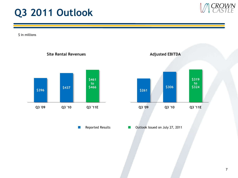### **Q3 2011 Outlook**

\$ in millions



 $\mathbb{R}^n$ 



7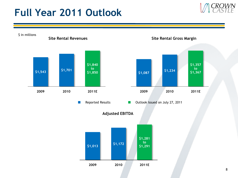## **Full Year 2011 Outlook**